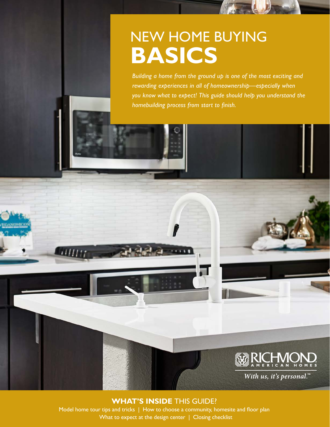# NEW HOME BUYING **BASICS**

*Building a home from the ground up is one of the most exciting and rewarding experiences in all of homeownership—especially when you know what to expect! This guide should help you understand the homebuilding process from start to finish.*

## **RICHMON**

With us, it's personal."

### **WHAT'S INSIDE** THIS GUIDE?

**CHILLE** 

Model home tour tips and tricks | How to choose a community, homesite and floor plan What to expect at the design center | Closing checklist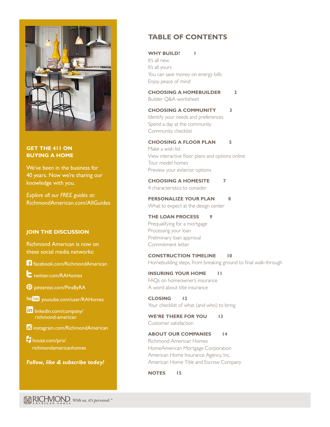

#### **GET THE 411 ON BUYING A HOME**

We've been in the business for 40 years. Now we're sharing our knowledge with you.

*Explore all our FREE guides at:* [RichmondAmerican.com/AllGuides](http://www.RichmondAmerican.com/AllGuides)

#### **JOIN THE DISCUSSION**

Richmond American is now on these social media networks:

[facebook.com/RichmondAmerican](http://www.facebook.com/RichmondAmerican)

**[twitter.com/RAHomes](http://www.twitter.com/RAHomes)** 

 [pinterest.com/PinsByRA](http://www.pinterest.com/PinsByRA)

You **Tube** [youtube.com/user/RAHomes](http://www.youtube.com/user/RAHomes)

in[linkedin.com/company/](http://www.linkedin.com/company/richmond-american)  [richmond-american](http://www.linkedin.com/company/richmond-american)

**b** [instagram.com/RichmondAmerican](http://www.Instagram.com/RichmondAmerican)

 [houzz.com/pro/](http://www.houzz.com/pro/richmondamericanhomes)   [richmondamericanhomes](http://www.houzz.com/pro/richmondamericanhomes)

*Follow, like & subscribe today!*

#### **TABLE OF CONTENTS**

#### WHY BUILD? 1

It's all new It's all yours You can save money on energy bills Enjoy peace of mind

#### **[CHOOSING A HOMEBUILDER 2](#page-3-0)**

Builder Q&A worksheet

#### **[CHOOSING A COMMUNITY 3](#page-4-0)**

Identify your needs and preferences Spend a day at the community Community checklist

#### **[CHOOSING A FLOOR PLAN 5](#page-6-0)**

Make a wish list View interactive floor plans and options online Tour model homes Preview your exterior options

**[CHOOSING A HOMESITE 7](#page-8-0)** 4 characteristics to consider

**[PERSONALIZE YOUR PLAN 8](#page-9-0)** What to expect at the design center

#### **[THE LOAN PROCESS 9](#page-10-0)** Prequalifying for a mortgage Processing your loan Preliminary loan approval Commitment letter

**[CONSTRUCTION TIMELINE 10](#page-11-0)** Homebuilding steps, from breaking ground to final walk-through

**[INSURING YOUR HOME 11](#page-12-0)** FAQs on homeowner's insurance A word about title insurance

**[CLOSING 12](#page-13-0)** Your checklist of what (and who) to bring

**[WE'RE THERE FOR YOU 13](#page-14-0)** Customer satisfaction

#### **[ABOUT OUR COMPANIES 14](#page-15-0)**

Richmond American Homes HomeAmerican Mortgage Corporation American Home Insurance Agency, Inc. American Home Title and Escrow Company

**[NOTES 15](#page-16-0)**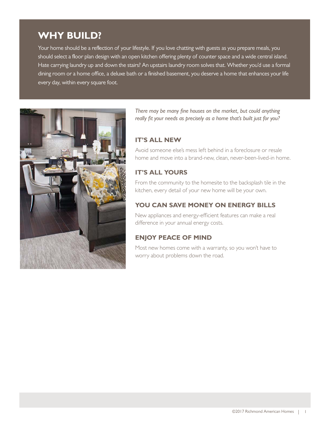### **WHY BUILD?**

Your home should be a reflection of your lifestyle. If you love chatting with guests as you prepare meals, you should select a floor plan design with an open kitchen offering plenty of counter space and a wide central island. Hate carrying laundry up and down the stairs? An upstairs laundry room solves that. Whether you'd use a formal dining room or a home office, a deluxe bath or a finished basement, you deserve a home that enhances your life every day, within every square foot.



*There may be many fine houses on the market, but could anything really fit your needs as precisely as a home that's built just for you?*

#### **IT'S ALL NEW**

Avoid someone else's mess left behind in a foreclosure or resale home and move into a brand-new, clean, never-been-lived-in home.

#### **IT'S ALL YOURS**

From the community to the homesite to the backsplash tile in the kitchen, every detail of your new home will be your own.

#### **YOU CAN SAVE MONEY ON ENERGY BILLS**

New appliances and energy-efficient features can make a real difference in your annual energy costs.

#### **ENJOY PEACE OF MIND**

Most new homes come with a warranty, so you won't have to worry about problems down the road.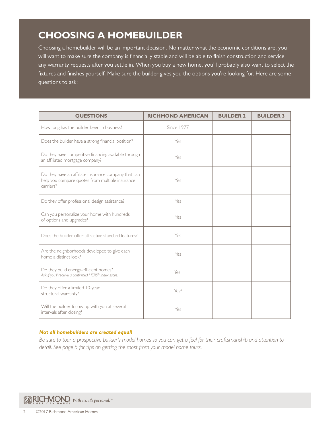### <span id="page-3-0"></span>**CHOOSING A HOMEBUILDER**

Choosing a homebuilder will be an important decision. No matter what the economic conditions are, you will want to make sure the company is financially stable and will be able to finish construction and service any warranty requests after you settle in. When you buy a new home, you'll probably also want to select the fixtures and finishes yourself. Make sure the builder gives you the options you're looking for. Here are some questions to ask:

| <b>QUESTIONS</b>                                                                                                     | <b>RICHMOND AMERICAN</b> | <b>BUILDER 2</b> | <b>BUILDER 3</b> |
|----------------------------------------------------------------------------------------------------------------------|--------------------------|------------------|------------------|
| How long has the builder been in business?                                                                           | <b>Since 1977</b>        |                  |                  |
| Does the builder have a strong financial position?                                                                   | Yes                      |                  |                  |
| Do they have competitive financing available through<br>an affiliated mortgage company?                              | Yes                      |                  |                  |
| Do they have an affiliate insurance company that can<br>help you compare quotes from multiple insurance<br>carriers? | Yes                      |                  |                  |
| Do they offer professional design assistance?                                                                        | Yes                      |                  |                  |
| Can you personalize your home with hundreds<br>of options and upgrades?                                              | Yes                      |                  |                  |
| Does the builder offer attractive standard features?                                                                 | Yes                      |                  |                  |
| Are the neighborhoods developed to give each<br>home a distinct look?                                                | Yes                      |                  |                  |
| Do they build energy-efficient homes?<br>Ask if you'll receive a confirmed HERS® index score.                        | Yes                      |                  |                  |
| Do they offer a limited 10-year<br>structural warranty?                                                              | Yes <sup>2</sup>         |                  |                  |
| Will the builder follow up with you at several<br>intervals after closing?                                           | Yes                      |                  |                  |

#### *Not all homebuilders are created equal!*

*Be sure to tour a prospective builder's model homes so you can get a feel for their craftsmanship and attention to detail. [See page](#page-8-0) 5 for tips on getting the most from your model home tours.*

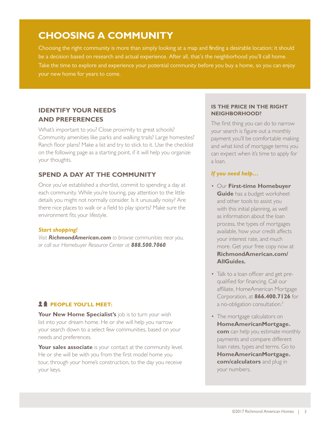### <span id="page-4-0"></span>**CHOOSING A COMMUNITY**

Choosing the right community is more than simply looking at a map and finding a desirable location; it should be a decision based on research and actual experience. After all, that's the neighborhood you'll call home. Take the time to explore and experience your potential community before you buy a home, so you can enjoy your new home for years to come.

#### **IDENTIFY YOUR NEEDS AND PREFERENCES**

What's important to you? Close proximity to great schools? Community amenities like parks and walking trails? Large homesites? Ranch floor plans? Make a list and try to stick to it. Use the checklist on the following page as a starting point, if it will help you organize your thoughts.

#### **SPEND A DAY AT THE COMMUNITY**

Once you've established a shortlist, commit to spending a day at each community. While you're touring, pay attention to the little details you might not normally consider. Is it unusually noisy? Are there nice places to walk or a field to play sports? Make sure the environment fits your lifestyle.

#### *Start shopping!*

*Visit [RichmondAmerican.com](http://www.richmondamerican.com) to browse communities near you, or call our Homebuyer Resource Center at 888.500.7060.*

#### **24 PEOPLE YOU'LL MEET:**

Your New Home Specialist's job is to turn your wish list into your dream home. He or she will help you narrow your search down to a select few communities, based on your needs and preferences.

**Your sales associate** is your contact at the community level. He or she will be with you from the first model home you tour, through your home's construction, to the day you receive your keys.

#### **IS THE PRICE IN THE RIGHT NEIGHBORHOOD?**

The first thing you can do to narrow your search is figure out a monthly payment you'll be comfortable making and what kind of mortgage terms you can expect when it's time to apply for a loan.

#### *If you need help…*

- Our **First-time Homebuyer Guide** has a budget worksheet and other tools to assist you with this initial planning, as well as information about the loan process, the types of mortgages available, how your credit affects your interest rate, and much more. Get your free copy now at **[RichmondAmerican.com/](http://www.RichmondAmerican.com/AllGuides) [AllGuides.](http://www.RichmondAmerican.com/AllGuides)**
- Talk to a loan officer and get prequalified for financing. Call our affiliate, HomeAmerican Mortgage Corporation, at **866.400.7126** for a no-obligation consultation.3
- The mortgage calculators on **HomeAmericanMortgage[.](http://www.richmondamerican.com) [com](http://www.richmondamerican.com)** can help you estimate monthly payments and compare different loan rates, types and terms. Go to **HomeAmericanMortgage. com/calculators** and plug in your number[s.](http://www.richmondamerican.com/Get-Your-Loan/Finance-Calculators/Calculators.aspx)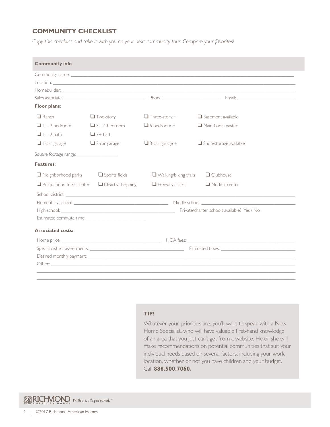#### **COMMUNITY CHECKLIST**

*Copy this checklist and take it with you on your next community tour. Compare your favorites!*

| <b>Community info</b>            |                        |                              |                                                                                                                                                                                                                                |
|----------------------------------|------------------------|------------------------------|--------------------------------------------------------------------------------------------------------------------------------------------------------------------------------------------------------------------------------|
|                                  |                        |                              |                                                                                                                                                                                                                                |
|                                  |                        |                              |                                                                                                                                                                                                                                |
|                                  |                        |                              |                                                                                                                                                                                                                                |
|                                  |                        |                              |                                                                                                                                                                                                                                |
| <b>Floor plans:</b>              |                        |                              |                                                                                                                                                                                                                                |
| $\Box$ Ranch                     | $\Box$ Two-story       | $\Box$ Three-story +         | $\Box$ Basement available                                                                                                                                                                                                      |
|                                  | $\Box$ 3 – 4 bedroom   | $\Box$ 5 bedroom +           | $\Box$ Main-floor master                                                                                                                                                                                                       |
| $\Box$ I - 2 bath                | $\Box$ 3+ bath         |                              |                                                                                                                                                                                                                                |
| $\Box$ I-car garage              | $\Box$ 2-car garage    | $\Box$ 3-car garage +        | $\Box$ Shop/storage available                                                                                                                                                                                                  |
|                                  |                        |                              |                                                                                                                                                                                                                                |
| <b>Features:</b>                 |                        |                              |                                                                                                                                                                                                                                |
| $\Box$ Neighborhood parks        | $\Box$ Sports fields   | $\Box$ Walking/biking trails | $\Box$ Clubhouse                                                                                                                                                                                                               |
| $\Box$ Recreation/fitness center | $\Box$ Nearby shopping | $\Box$ Freeway access        | $\Box$ Medical center                                                                                                                                                                                                          |
|                                  |                        |                              |                                                                                                                                                                                                                                |
|                                  |                        |                              |                                                                                                                                                                                                                                |
|                                  |                        |                              |                                                                                                                                                                                                                                |
|                                  |                        |                              |                                                                                                                                                                                                                                |
| <b>Associated costs:</b>         |                        |                              |                                                                                                                                                                                                                                |
|                                  |                        |                              |                                                                                                                                                                                                                                |
|                                  |                        |                              |                                                                                                                                                                                                                                |
|                                  |                        |                              | Desired monthly payment: the contract of the contract of the contract of the contract of the contract of the contract of the contract of the contract of the contract of the contract of the contract of the contract of the c |
|                                  |                        |                              |                                                                                                                                                                                                                                |

#### **TIP!**

Whatever your priorities are, you'll want to speak with a New Home Specialist, who will have valuable first-hand knowledge of an area that you just can't get from a website. He or she will make recommendations on potential communities that suit your individual needs based on several factors, including your work location, whether or not you have children and your budget. Call **888.500.7060.**

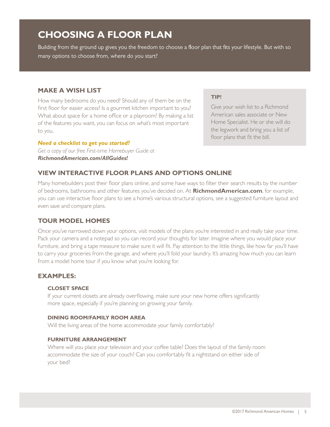### <span id="page-6-0"></span>**CHOOSING A FLOOR PLAN**

Building from the ground up gives you the freedom to choose a floor plan that fits your lifestyle. But with so many options to choose from, where do you start?

#### **MAKE A WISH LIST**

How many bedrooms do you need? Should any of them be on the first floor for easier access? Is a gourmet kitchen important to you? What about space for a home office or a playroom? By making a list of the features you want, you can focus on what's most important to you.

#### *Need a checklist to get you started?*

*Get a copy of our free First-time Homebuyer Guide at [RichmondAmerican.com/AllGuides!](http://www.RichmondAmerican.com/AllGuides)*

#### **TIP!**

Give your wish list to a Richmond American sales associate or New Home Specialist. He or she will do the legwork and bring you a list of floor plans that fit the bill.

#### **VIEW INTERACTIVE FLOOR PLANS AND OPTIONS ONLINE**

Many homebuilders post their floor plans online, and some have ways to filter their search results by the number of bedrooms, bathrooms and other features you've decided on. At **[RichmondAmerican.com](http://www.richmondamerican.com)**, for example, you can use interactive floor plans to see a home's various structural options, see a suggested furniture layout and even save and compare plans.

#### **TOUR MODEL HOMES**

Once you've narrowed down your options, visit models of the plans you're interested in and really take your time. Pack your camera and a notepad so you can record your thoughts for later. Imagine where you would place your furniture, and bring a tape measure to make sure it will fit. Pay attention to the little things, like how far you'll have to carry your groceries from the garage, and where you'll fold your laundry. It's amazing how much you can learn from a model home tour if you know what you're looking for.

#### **EXAMPLES:**

#### **CLOSET SPACE**

If your current closets are already overflowing, make sure your new home offers significantly more space, especially if you're planning on growing your family.

#### **DINING ROOM/FAMILY ROOM AREA**

Will the living areas of the home accommodate your family comfortably?

#### **FURNITURE ARRANGEMENT**

Where will you place your television and your coffee table? Does the layout of the family room accommodate the size of your couch? Can you comfortably fit a nightstand on either side of your bed?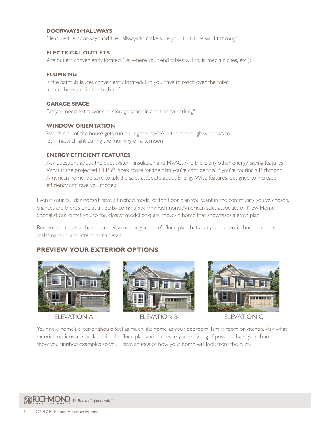#### **DOORWAYS/HALLWAYS**

Measure the doorways and the hallways to make sure your furniture will fit through.

#### **ELECTRICAL OUTLETS**

Are outlets conveniently located (i.e. where your end tables will sit, in media niches, etc.)?

#### **PLUMBING**

Is the bathtub faucet conveniently located? Do you have to reach over the toilet to run the water in the bathtub?

#### **GARAGE SPACE**

Do you need extra work or storage space in addition to parking?

#### **WINDOW ORIENTATION**

Which side of the house gets sun during the day? Are there enough windows to let in natural light during the morning or afternoon?

#### **ENERGY EFFICIENT FEATURES**

Ask questions about the duct system, insulation and HVAC. Are there any other energy-saving features? What is the projected HERS<sup>®</sup> index score for the plan you're considering? If you're touring a Richmond American home, be sure to ask the sales associate about Energy Wise features, designed to increase efficiency and save you money.<sup>1</sup>

Even if your builder doesn't have a finished model of the floor plan you want in the community you've chosen, chances are there's one at a nearby community. Any Richmond American sales associate or New Home Specialist can direct you to the closest model or quick move-in home that showcases a given plan.

Remember, this is a chance to review not only a home's floor plan, but also your potential homebuilder's craftsmanship and attention to detail.

#### **PREVIEW YOUR EXTERIOR OPTIONS**







Your new home's exterior should feel as much like home as your bedroom, family room or kitchen. Ask what exterior options are available for the floor plan and homesite you're eyeing. If possible, have your homebuilder show you finished examples so you'll have an idea of how your home will look from the curb.

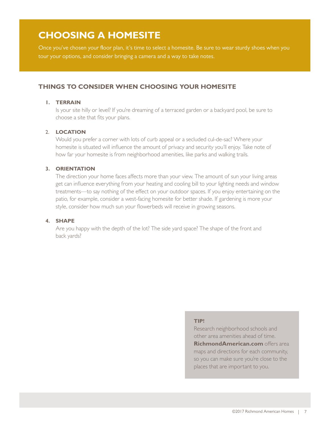### <span id="page-8-0"></span>**CHOOSING A HOMESITE**

Once you've chosen your floor plan, it's time to select a homesite. Be sure to wear sturdy shoes when you tour your options, and consider bringing a camera and a way to take notes.

#### **THINGS TO CONSIDER WHEN CHOOSING YOUR HOMESITE**

#### **1. TERRAIN**

Is your site hilly or level? If you're dreaming of a terraced garden or a backyard pool, be sure to choose a site that fits your plans.

#### 2. **LOCATION**

Would you prefer a corner with lots of curb appeal or a secluded cul-de-sac? Where your homesite is situated will influence the amount of privacy and security you'll enjoy. Take note of how far your homesite is from neighborhood amenities, like parks and walking trails.

#### **3. ORIENTATION**

The direction your home faces affects more than your view. The amount of sun your living areas get can influence everything from your heating and cooling bill to your lighting needs and window treatments—to say nothing of the effect on your outdoor spaces. If you enjoy entertaining on the patio, for example, consider a west-facing homesite for better shade. If gardening is more your style, consider how much sun your flowerbeds will receive in growing seasons.

#### **4. SHAPE**

Are you happy with the depth of the lot? The side yard space? The shape of the front and back yards?

#### **TIP!**

Research neighborhood schools and other area amenities ahead of time. **[RichmondAmerican.com](http://www.richmondamerican.com)** offers area maps and directions for each community, so you can make sure you're close to the places that are important to you.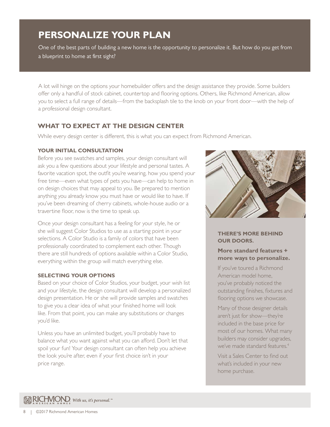### <span id="page-9-0"></span>**PERSONALIZE YOUR PLAN**

One of the best parts of building a new home is the opportunity to personalize it. But how do you get from a blueprint to home at first sight?

A lot will hinge on the options your homebuilder offers and the design assistance they provide. Some builders offer only a handful of stock cabinet, countertop and flooring options. Others, like Richmond American, allow you to select a full range of details—from the backsplash tile to the knob on your front door—with the help of a professional design consultant.

#### **WHAT TO EXPECT AT THE DESIGN CENTER**

While every design center is different, this is what you can expect from Richmond American.

#### **YOUR INITIAL CONSULTATION**

Before you see swatches and samples, your design consultant will ask you a few questions about your lifestyle and personal tastes. A favorite vacation spot, the outfit you're wearing, how you spend your free time—even what types of pets you have—can help to home in on design choices that may appeal to you. Be prepared to mention anything you already know you must have or would like to have. If you've been dreaming of cherry cabinets, whole-house audio or a travertine floor, now is the time to speak up.

Once your design consultant has a feeling for your style, he or she will suggest Color Studios to use as a starting point in your selections. A Color Studio is a family of colors that have been professionally coordinated to complement each other. Though there are still hundreds of options available within a Color Studio, everything within the group will match everything else.

#### **SELECTING YOUR OPTIONS**

Based on your choice of Color Studios, your budget, your wish list and your lifestyle, the design consultant will develop a personalized design presentation. He or she will provide samples and swatches to give you a clear idea of what your finished home will look like. From that point, you can make any substitutions or changes you'd like.

Unless you have an unlimited budget, you'll probably have to balance what you want against what you can afford. Don't let that spoil your fun! Your design consultant can often help you achieve the look you're after, even if your first choice isn't in your price range.



#### **THERE'S MORE BEHIND OUR DOORS.**

#### **More standard features + more ways to personalize.**

If you've toured a Richmond American model home, you've probably noticed the outstanding finishes, fixtures and flooring options we showcase.

Many of those designer details aren't just for show—they're included in the base price for most of our homes. What many builders may consider upgrades, we've made standard features.<sup>4</sup>

Visit a Sales Center to find out what's included in your new home purchase.

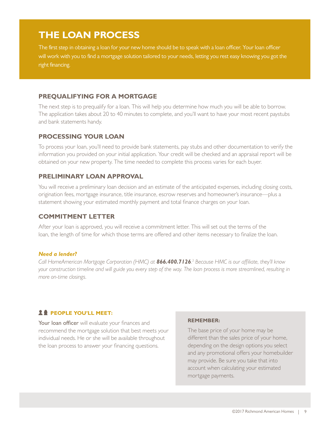### <span id="page-10-0"></span>**THE LOAN PROCESS**

The first step in obtaining a loan for your new home should be to speak with a loan officer. Your loan officer will work with you to find a mortgage solution tailored to your needs, letting you rest easy knowing you got the right financing.

#### **PREQUALIFYING FOR A MORTGAGE**

The next step is to prequalify for a loan. This will help you determine how much you will be able to borrow. The application takes about 20 to 40 minutes to complete, and you'll want to have your most recent paystubs and bank statements handy.

#### **PROCESSING YOUR LOAN**

To process your loan, you'll need to provide bank statements, pay stubs and other documentation to verify the information you provided on your initial application. Your credit will be checked and an appraisal report will be obtained on your new property. The time needed to complete this process varies for each buyer.

#### **PRELIMINARY LOAN APPROVAL**

You will receive a preliminary loan decision and an estimate of the anticipated expenses, including closing costs, origination fees, mortgage insurance, title insurance, escrow reserves and homeowner's insurance—plus a statement showing your estimated monthly payment and total finance charges on your loan.

#### **COMMITMENT LETTER**

After your loan is approved, you will receive a commitment letter. This will set out the terms of the loan, the length of time for which those terms are offered and other items necessary to finalize the loan.

#### *Need a lender?*

*Call HomeAmerican Mortgage Corporation (HMC) at 866.400.7126. 3 Because HMC is our affiliate, they'll know your construction timeline and will guide you every step of the way. The loan process is more streamlined, resulting in more on-time closings.*

#### **PEOPLE YOU'LL MEET:**

Your loan officer will evaluate your finances and recommend the mortgage solution that best meets your individual needs. He or she will be available throughout the loan process to answer your financing questions.

#### **REMEMBER:**

The base price of your home may be different than the sales price of your home, depending on the design options you select and any promotional offers your homebuilder may provide. Be sure you take that into account when calculating your estimated mortgage payments.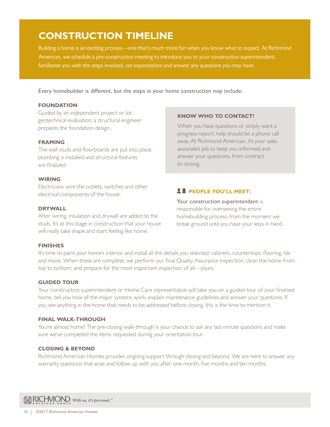### <span id="page-11-0"></span>**CONSTRUCTION TIMELINE**

Building a home is an exciting process—one that's much more fun when you know what to expect. At Richmond American, we schedule a pre-construction meeting to introduce you to your construction superintendent, familiarize you with the steps involved, set expectations and answer any questions you may have.

Every homebuilder is different, but the steps in your home construction may include:

#### **FOUNDATION**

Guided by an independent project or lot geotechnical evaluation, a structural engineer prepares the foundation design.

#### **FRAMING**

The wall studs and floorboards are put into place, plumbing is installed and structural features are finalized.

#### **WIRING**

Electricians wire the outlets, switches and other electrical components of the house.

#### **DRYWALL**

After wiring, insulation and drywall are added to the studs. It's at this stage in construction that your house will really take shape and start feeling like home.

#### **FINISHES**

#### It's time to paint your home's interior and install all the details you selected: cabinets, countertops, flooring, tile and more. When these are complete, we perform our final Quality Assurance Inspection, clean the home from top to bottom, and prepare for the most important inspection of all—yours.

#### **GUIDED TOUR**

Your construction superintendent or Home Care representative will take you on a guided tour of your finished home, tell you how all the major systems work, explain maintenance guidelines and answer your questions. If you see anything in the home that needs to be addressed before closing, this is the time to mention it.

#### **FINAL WALK-THROUGH**

You're almost home! The pre-closing walk-through is your chance to ask any last minute questions and make sure we've completed the items requested during your orientation tour.

#### **CLOSING & BEYOND**

Richmond American Homes provides ongoing support through closing and beyond. We are here to answer any warranty questions that arise and follow up with you after one month, five months and ten months.

WRICHVIOND. With us, it's personal."

#### **KNOW WHO TO CONTACT!**

When you have questions or simply want a progress report, help should be a phone call away. At Richmond American, it's your sales associate's job to keep you informed and answer your questions, from contract to closing.

#### **PEOPLE YOU'LL MEET:**

Your construction superintendent is responsible for overseeing the entire homebuilding process, from the moment we break ground until you have your keys in hand.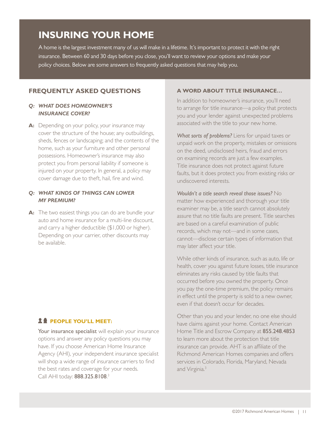### <span id="page-12-0"></span>**INSURING YOUR HOME**

A home is the largest investment many of us will make in a lifetime. It's important to protect it with the right insurance. Between 60 and 30 days before you close, you'll want to review your options and make your policy choices. Below are some answers to frequently asked questions that may help you.

#### **FREQUENTLY ASKED QUESTIONS**

#### *Q: WHAT DOES HOMEOWNER'S INSURANCE COVER?*

A: Depending on your policy, your insurance may cover the structure of the house; any outbuildings, sheds, fences or landscaping; and the contents of the home, such as your furniture and other personal possessions. Homeowner's insurance may also protect you from personal liability if someone is injured on your property. In general, a policy may cover damage due to theft, hail, fire and wind.

#### *Q: WHAT KINDS OF THINGS CAN LOWER MY PREMIUM?*

**A:** The two easiest things you can do are bundle your auto and home insurance for a multi-line discount, and carry a higher deductible (\$1,000 or higher). Depending on your carrier, other discounts may be available.

#### **24 PEOPLE YOU'LL MEET:**

Your insurance specialist will explain your insurance options and answer any policy questions you may have. If you choose American Home Insurance Agency (AHI), your independent insurance specialist will shop a wide range of insurance carriers to find the best rates and coverage for your needs. Call AHI today: 888.325.8108.<sup>3</sup>

#### **A WORD ABOUT TITLE INSURANCE…**

In addition to homeowner's insurance, you'll need to arrange for title insurance—a policy that protects you and your lender against unexpected problems associated with the title to your new home.

*What sorts of problems?* Liens for unpaid taxes or unpaid work on the property, mistakes or omissions on the deed, undisclosed heirs, fraud and errors on examining records are just a few examples. Title insurance does not protect against future faults, but it does protect you from existing risks or undiscovered interests.

*Wouldn't a title search reveal those issues?* No matter how experienced and thorough your title examiner may be, a title search cannot absolutely assure that no title faults are present. Title searches are based on a careful examination of public records, which may not—and in some cases, cannot—disclose certain types of information that may later affect your title.

While other kinds of insurance, such as auto, life or health, cover you against future losses, title insurance eliminates any risks caused by title faults that occurred before you owned the property. Once you pay the one-time premium, the policy remains in effect until the property is sold to a new owner, even if that doesn't occur for decades.

Other than you and your lender, no one else should have claims against your home. Contact American Home Title and Escrow Company at 855.248.4853 to learn more about the protection that title insurance can provide. AHT is an affiliate of the Richmond American Homes companies and offers services in Colorado, Florida, Maryland, Nevada and Virginia.3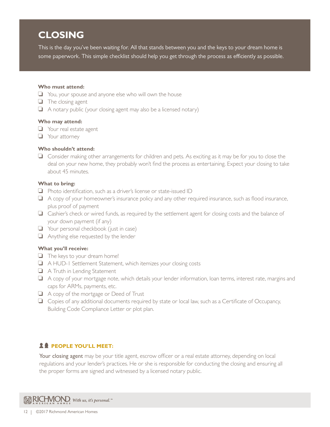## <span id="page-13-0"></span>**CLOSING**

This is the day you've been waiting for. All that stands between you and the keys to your dream home is some paperwork. This simple checklist should help you get through the process as efficiently as possible.

#### **Who must attend:**

- $\Box$  You, your spouse and anyone else who will own the house
- $\Box$  The closing agent
- $\Box$  A notary public (your closing agent may also be a licensed notary)

#### **Who may attend:**

- $\Box$  Your real estate agent
- $\Box$  Your attorney

#### **Who shouldn't attend:**

 $\Box$  Consider making other arrangements for children and pets. As exciting as it may be for you to close the deal on your new home, they probably won't find the process as entertaining. Expect your closing to take about 45 minutes.

#### **What to bring:**

- $\Box$  Photo identification, such as a driver's license or state-issued ID
- $\Box$  A copy of your homeowner's insurance policy and any other required insurance, such as flood insurance, plus proof of payment
- $\Box$  Cashier's check or wired funds, as required by the settlement agent for closing costs and the balance of your down payment (if any)
- $\Box$  Your personal checkbook (just in case)
- $\Box$  Anything else requested by the lender

#### **What you'll receive:**

- $\Box$  The keys to your dream home!
- o A HUD-1 Settlement Statement, which itemizes your closing costs
- $\Box$  A Truth in Lending Statement
- $\Box$  A copy of your mortgage note, which details your lender information, loan terms, interest rate, margins and caps for ARMs, payments, etc.
- $\Box$  A copy of the mortgage or Deed of Trust
- $\Box$  Copies of any additional documents required by state or local law, such as a Certificate of Occupancy, Building Code Compliance Letter or plot plan.

#### **PEOPLE YOU'LL MEET:**

Your closing agent may be your title agent, escrow officer or a real estate attorney, depending on local regulations and your lender's practices. He or she is responsible for conducting the closing and ensuring all the proper forms are signed and witnessed by a licensed notary public.

W RICHVIOND. With us, it's personal."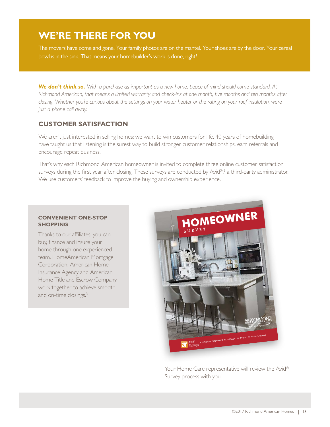### <span id="page-14-0"></span>**WE'RE THERE FOR YOU**

The movers have come and gone. Your family photos are on the mantel. Your shoes are by the door. Your cereal bowl is in the sink. That means your homebuilder's work is done, right?

*We don't think so. With a purchase as important as a new home, peace of mind should come standard. At Richmond American, that means a limited warranty and check-ins at one month, five months and ten months after closing. Whether you're curious about the settings on your water heater or the rating on your roof insulation, we're just a phone call away.*

#### **CUSTOMER SATISFACTION**

We aren't just interested in selling homes; we want to win customers for life. 40 years of homebuilding have taught us that listening is the surest way to build stronger customer relationships, earn referrals and encourage repeat business.

That's why each Richmond American homeowner is invited to complete three online customer satisfaction surveys during the first year after closing. These surveys are conducted by Avid®, 5 a third-party administrator. We use customers' feedback to improve the buying and ownership experience.

#### **CONVENIENT ONE-STOP SHOPPING**

Thanks to our affiliates, you can buy, finance and insure your home through one experienced team. HomeAmerican Mortgage Corporation, American Home Insurance Agency and American Home Title and Escrow Company work together to achieve smooth and on-time closings.<sup>3</sup>



Your Home Care representative will review the Avid® Survey process with you!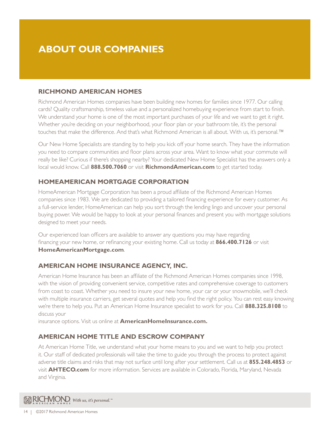### <span id="page-15-0"></span>**ABOUT OUR COMPANIES**

#### **RICHMOND AMERICAN HOMES**

Richmond American Homes companies have been building new homes for families since 1977. Our calling cards? Quality craftsmanship, timeless value and a personalized homebuying experience from start to finish. We understand your home is one of the most important purchases of your life and we want to get it right. Whether you're deciding on your neighborhood, your floor plan or your bathroom tile, it's the personal touches that make the difference. And that's what Richmond American is all about. With us, it's personal.™

Our New Home Specialists are standing by to help you kick off your home search. They have the information you need to compare communities and floor plans across your area. Want to know what your commute will really be like? Curious if there's shopping nearby? Your dedicated New Home Specialist has the answers only a local would know. Call **888.500.7060** or visit **[RichmondAmerican.com](http://RichmondAmerican.com)** to get started today.

#### **HOMEAMERICAN MORTGAGE CORPORATION**

HomeAmerican Mortgage Corporation has been a proud affiliate of the Richmond American Homes companies since 1983. We are dedicated to providing a tailored financing experience for every customer. As a full-service lender, HomeAmerican can help you sort through the lending lingo and uncover your personal buying power. We would be happy to look at your personal finances and present you with mortgage solutions designed to meet your needs.

Our experienced loan officers are available to answer any questions you may have regarding financing your new home, or refinancing your existing home. Call us today at **866.400.7126** or visit **[HomeAmericanMortgage.com](http://HomeAmericanMortgage.com)**.

#### **AMERICAN HOME INSURANCE AGENCY, INC.**

American Home Insurance has been an affiliate of the Richmond American Homes companies since 1998, with the vision of providing convenient service, competitive rates and comprehensive coverage to customers from coast to coast. Whether you need to insure your new home, your car or your snowmobile, we'll check with multiple insurance carriers, get several quotes and help you find the right policy. You can rest easy knowing we're there to help you. Put an American Home Insurance specialist to work for you. Call **888.325.8108** to discuss your

insurance options. Visit us online at **[AmericanHomeInsurance.com](http://www.AmericanHomeInsurance.com).**

#### **AMERICAN HOME TITLE AND ESCROW COMPANY**

At American Home Title, we understand what your home means to you and we want to help you protect it. Our staff of dedicated professionals will take the time to guide you through the process to protect against adverse title claims and risks that may not surface until long after your settlement. Call us at **855.248.4853** or visit **[AHTECO.com](http://www.AHTECO.com)** for more information. Services are available in Colorado, Florida, Maryland, Nevada and Virginia.

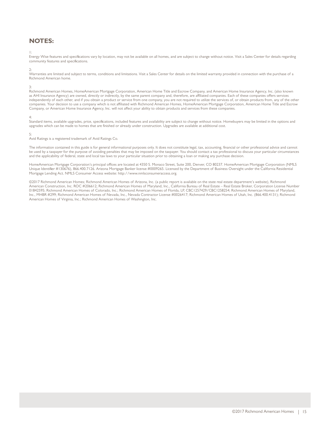#### <span id="page-16-0"></span>**NOTES:**

#### 1:

Energy Wise features and specifications vary by location, may not be available on all homes, and are subject to change without notice. Visit a Sales Center for details regarding community features and specifications.

2:

Warranties are limited and subject to terms, conditions and limitations. Visit a Sales Center for details on the limited warranty provided in connection with the purchase of a Richmond American home.

3:

Richmond American Homes, HomeAmerican Mortgage Corporation, American Home Title and Escrow Company, and American Home Insurance Agency, Inc. (also known as AHI Insurance Agency) are owned, directly or indirectly, by the same parent company and, therefore, are affiliated companies. Each of these companies offers services independently of each other, and if you obtain a product or service from one company, you are not required to utilize the services of, or obtain products from, any of the other companies. Your decision to use a company which is not affiliated with Richmond American Homes, HomeAmerican Mortgage Corporation, American Home Title and Escrow Company, or American Home Insurance Agency, Inc. will not affect your ability to obtain products and services from these companies.

4:

Standard items, available upgrades, price, specifications, included features and availability are subject to change without notice. Homebuyers may be limited in the options and upgrades which can be made to homes that are finished or already under construction. Upgrades are available at additional cost.

#### 5:

Avid Ratings is a registered trademark of Avid Ratings Co.

The information contained in this guide is for general informational purposes only. It does not constitute legal, tax, accounting, financial or other professional advice and cannot be used by a taxpayer for the purpose of avoiding penalties that may be imposed on the taxpayer. You should contact a tax professional to discuss your particular circumstances and the applicability of federal, state and local tax laws to your particular situation prior to obtaining a loan or making any purchase decision.

HomeAmerican Mortgage Corporation's principal offices are located at 4350 S. Monaco Street, Suite 200, Denver, CO 80237. HomeAmerican Mortgage Corporation (NMLS Unique Identifier #130676), 866.400.7126. Arizona Mortgage Banker license #0009265. Licensed by the Department of Business Oversight under the California Residential Mortgage Lending Act. NMLS Consumer Access website: http://www.nmlsconsumeraccess.org.

©2017 Richmond American Homes; Richmond American Homes of Arizona, Inc. (a public report is available on the state real estate department's website), Richmond American Construction, Inc. ROC #206612; Richmond American Homes of Maryland, Inc., California Bureau of Real Estate – Real Estate Broker, Corporation License Number 01842595; Richmond American Homes of Colorado, Inc.; Richmond American Homes of Florida, LP, CBC1257429/CBC1258254; Richmond American Homes of Maryland, Inc., MHBR #299; Richmond American Homes of Nevada, Inc., Nevada Contractor License #0026417; Richmond American Homes of Utah, Inc. (866.400.4131); Richmond American Homes of Virginia, Inc.; Richmond American Homes of Washington, Inc.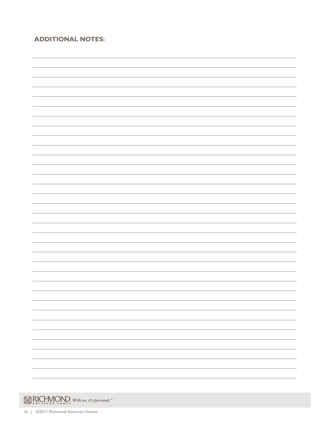#### **ADDITIONAL NOTES:**

| $\overline{\phantom{0}}$      |
|-------------------------------|
|                               |
|                               |
| $\overline{\phantom{0}}$      |
|                               |
|                               |
| $\overline{\phantom{0}}$      |
|                               |
|                               |
|                               |
| $\overline{\phantom{0}}$      |
|                               |
|                               |
| -                             |
|                               |
|                               |
|                               |
|                               |
|                               |
| $\overline{\phantom{0}}$<br>- |
|                               |
|                               |
| $\overline{\phantom{0}}$      |
|                               |
|                               |
|                               |
| -                             |

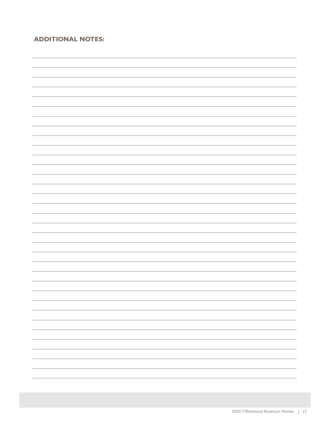#### **ADDITIONAL NOTES:**

 $\overline{\phantom{a}}$ <u> 1980 - Johann Barn, mars an t-Amerikaansk kommunister (</u>